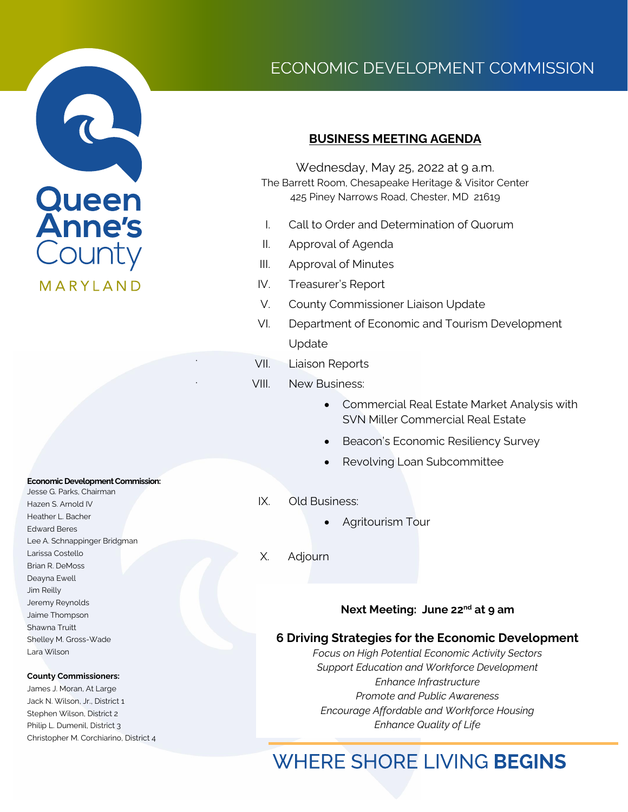

#### **Economic Development Commission:**

Jesse G. Parks, Chairman Hazen S. Arnold IV Heather L. Bacher Edward Beres Lee A. Schnappinger Bridgman Larissa Costello Brian R. DeMoss Deayna Ewell Jim Reilly Jeremy Reynolds Jaime Thompson Shawna Truitt Shelley M. Gross-Wade Lara Wilson

#### **County Commissioners:**

James J. Moran, At Large Jack N. Wilson, Jr., District 1 Stephen Wilson, District 2 Philip L. Dumenil, District 3 Christopher M. Corchiarino, District 4

# ECONOMIC DEVELOPMENT COMMISSION

### **BUSINESS MEETING AGENDA**

Wednesday, May 25, 2022 at 9 a.m. The Barrett Room, Chesapeake Heritage & Visitor Center 425 Piney Narrows Road, Chester, MD 21619

- I. Call to Order and Determination of Quorum
- II. Approval of Agenda
- III. Approval of Minutes
- IV. Treasurer's Report
- V. County Commissioner Liaison Update
- VI. Department of Economic and Tourism Development Update
- VII. Liaison Reports

.

.

- VIII. New Business:
	- Commercial Real Estate Market Analysis with SVN Miller Commercial Real Estate
	- Beacon's Economic Resiliency Survey
	- Revolving Loan Subcommittee
- IX. Old Business:
	- Agritourism Tour
	- X. Adjourn

#### **Next Meeting: June 22nd at 9 am**

#### **6 Driving Strategies for the Economic Development**

*Focus on High Potential Economic Activity Sectors Support Education and Workforce Development Enhance Infrastructure Promote and Public Awareness Encourage Affordable and Workforce Housing Enhance Quality of Life*

# **WHERE SHORE LIVING BEGINS**